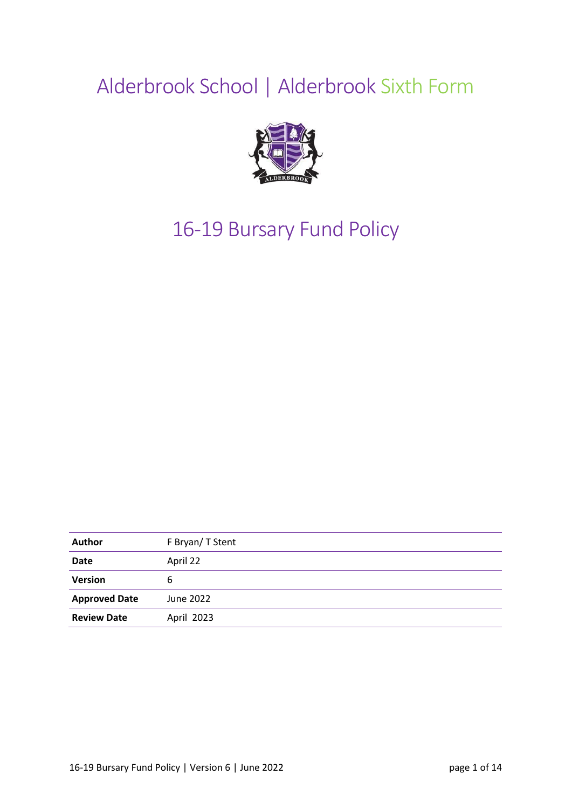# Alderbrook School | Alderbrook Sixth Form



# 16-19 Bursary Fund Policy

| <b>Author</b>        | F Bryan/T Stent |
|----------------------|-----------------|
| Date                 | April 22        |
| <b>Version</b>       | 6               |
| <b>Approved Date</b> | June 2022       |
| <b>Review Date</b>   | April 2023      |
|                      |                 |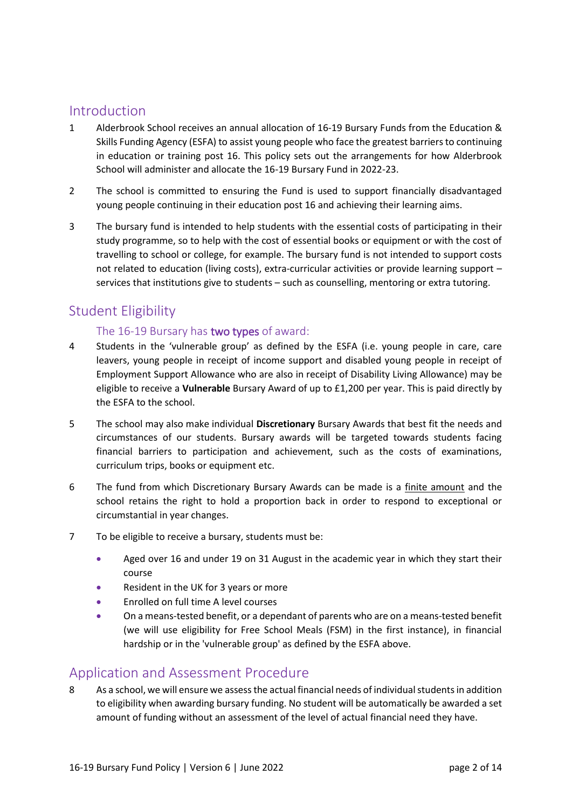# Introduction

- 1 Alderbrook School receives an annual allocation of 16‐19 Bursary Funds from the Education & Skills Funding Agency (ESFA) to assist young people who face the greatest barriers to continuing in education or training post 16. This policy sets out the arrangements for how Alderbrook School will administer and allocate the 16‐19 Bursary Fund in 2022-23.
- 2 The school is committed to ensuring the Fund is used to support financially disadvantaged young people continuing in their education post 16 and achieving their learning aims.
- 3 The bursary fund is intended to help students with the essential costs of participating in their study programme, so to help with the cost of essential books or equipment or with the cost of travelling to school or college, for example. The bursary fund is not intended to support costs not related to education (living costs), extra-curricular activities or provide learning support – services that institutions give to students – such as counselling, mentoring or extra tutoring.

# Student Eligibility

### The 16-19 Bursary has two types of award:

- 4 Students in the 'vulnerable group' as defined by the ESFA (i.e. young people in care, care leavers, young people in receipt of income support and disabled young people in receipt of Employment Support Allowance who are also in receipt of Disability Living Allowance) may be eligible to receive a **Vulnerable** Bursary Award of up to £1,200 per year. This is paid directly by the ESFA to the school.
- 5 The school may also make individual **Discretionary** Bursary Awards that best fit the needs and circumstances of our students. Bursary awards will be targeted towards students facing financial barriers to participation and achievement, such as the costs of examinations, curriculum trips, books or equipment etc.
- 6 The fund from which Discretionary Bursary Awards can be made is a finite amount and the school retains the right to hold a proportion back in order to respond to exceptional or circumstantial in year changes.
- 7 To be eligible to receive a bursary, students must be:
	- Aged over 16 and under 19 on 31 August in the academic year in which they start their course
	- Resident in the UK for 3 years or more
	- Enrolled on full time A level courses
	- On a means‐tested benefit, or a dependant of parents who are on a means‐tested benefit (we will use eligibility for Free School Meals (FSM) in the first instance), in financial hardship or in the 'vulnerable group' as defined by the ESFA above.

# Application and Assessment Procedure

8 As a school, we will ensure we assess the actual financial needs of individual students in addition to eligibility when awarding bursary funding. No student will be automatically be awarded a set amount of funding without an assessment of the level of actual financial need they have.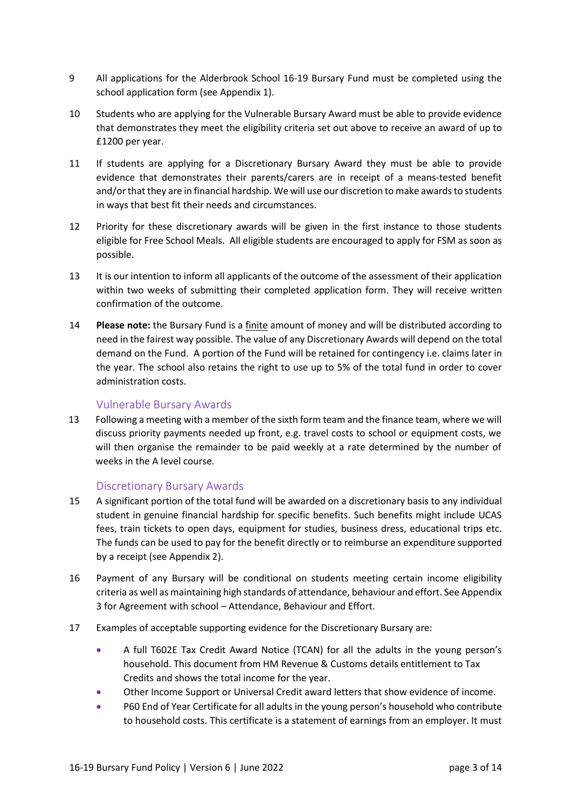- 9 All applications for the Alderbrook School 16-19 Bursary Fund must be completed using the school application form (see Appendix 1).
- 10 Students who are applying for the Vulnerable Bursary Award must be able to provide evidence that demonstrates they meet the eligibility criteria set out above to receive an award of up to £1200 per year.
- 11 If students are applying for a Discretionary Bursary Award they must be able to provide evidence that demonstrates their parents/carers are in receipt of a means-tested benefit and/or that they are in financial hardship. We will use our discretion to make awards to students in ways that best fit their needs and circumstances.
- 12 Priority for these discretionary awards will be given in the first instance to those students eligible for Free School Meals. All eligible students are encouraged to apply for FSM as soon as possible.
- 13 It is our intention to inform all applicants of the outcome of the assessment of their application within two weeks of submitting their completed application form. They will receive written confirmation of the outcome.
- 14 **Please note:** the Bursary Fund is a finite amount of money and will be distributed according to need in the fairest way possible. The value of any Discretionary Awards will depend on the total demand on the Fund. A portion of the Fund will be retained for contingency i.e. claims later in the year. The school also retains the right to use up to 5% of the total fund in order to cover administration costs.

#### Vulnerable Bursary Awards

13 Following a meeting with a member of the sixth form team and the finance team, where we will discuss priority payments needed up front, e.g. travel costs to school or equipment costs, we will then organise the remainder to be paid weekly at a rate determined by the number of weeks in the A level course.

#### Discretionary Bursary Awards

- 15 A significant portion of the total fund will be awarded on a discretionary basis to any individual student in genuine financial hardship for specific benefits. Such benefits might include UCAS fees, train tickets to open days, equipment for studies, business dress, educational trips etc. The funds can be used to pay for the benefit directly or to reimburse an expenditure supported by a receipt (see Appendix 2).
- 16 Payment of any Bursary will be conditional on students meeting certain income eligibility criteria as well as maintaining high standards of attendance, behaviour and effort. See Appendix 3 for Agreement with school – Attendance, Behaviour and Effort.
- 17 Examples of acceptable supporting evidence for the Discretionary Bursary are:
	- A full T602E Tax Credit Award Notice (TCAN) for all the adults in the young person's household. This document from HM Revenue & Customs details entitlement to Tax Credits and shows the total income for the year.
	- Other Income Support or Universal Credit award letters that show evidence of income.
	- P60 End of Year Certificate for all adults in the young person's household who contribute to household costs. This certificate is a statement of earnings from an employer. It must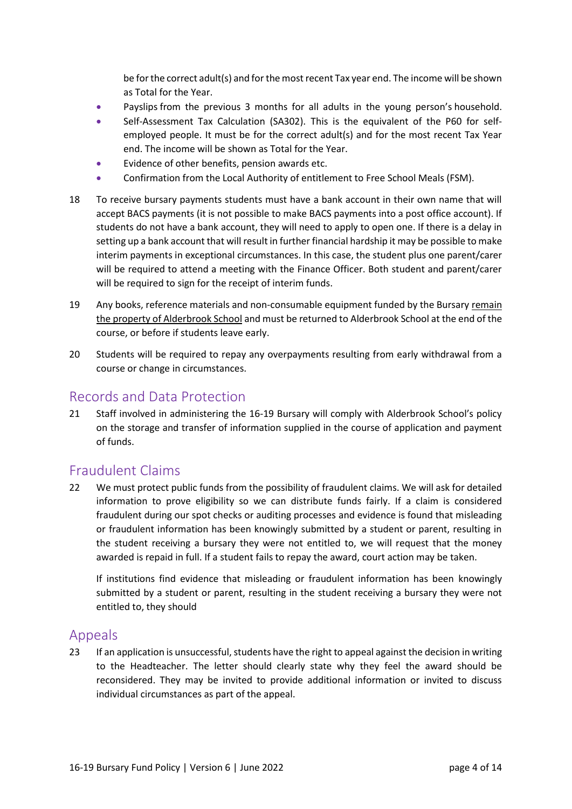be for the correct adult(s) and for the most recent Tax year end. The income will be shown as Total for the Year.

- Payslips from the previous 3 months for all adults in the young person's household.
- Self-Assessment Tax Calculation (SA302). This is the equivalent of the P60 for selfemployed people. It must be for the correct adult(s) and for the most recent Tax Year end. The income will be shown as Total for the Year.
- Evidence of other benefits, pension awards etc.
- Confirmation from the Local Authority of entitlement to Free School Meals (FSM).
- 18 To receive bursary payments students must have a bank account in their own name that will accept BACS payments (it is not possible to make BACS payments into a post office account). If students do not have a bank account, they will need to apply to open one. If there is a delay in setting up a bank account that will result in further financial hardship it may be possible to make interim payments in exceptional circumstances. In this case, the student plus one parent/carer will be required to attend a meeting with the Finance Officer. Both student and parent/carer will be required to sign for the receipt of interim funds.
- 19 Any books, reference materials and non-consumable equipment funded by the Bursary remain the property of Alderbrook School and must be returned to Alderbrook School at the end of the course, or before if students leave early.
- 20 Students will be required to repay any overpayments resulting from early withdrawal from a course or change in circumstances.

# Records and Data Protection

21 Staff involved in administering the 16‐19 Bursary will comply with Alderbrook School's policy on the storage and transfer of information supplied in the course of application and payment of funds.

# Fraudulent Claims

22 We must protect public funds from the possibility of fraudulent claims. We will ask for detailed information to prove eligibility so we can distribute funds fairly. If a claim is considered fraudulent during our spot checks or auditing processes and evidence is found that misleading or fraudulent information has been knowingly submitted by a student or parent, resulting in the student receiving a bursary they were not entitled to, we will request that the money awarded is repaid in full. If a student fails to repay the award, court action may be taken.

If institutions find evidence that misleading or fraudulent information has been knowingly submitted by a student or parent, resulting in the student receiving a bursary they were not entitled to, they should

## Appeals

23 If an application is unsuccessful, students have the right to appeal against the decision in writing to the Headteacher. The letter should clearly state why they feel the award should be reconsidered. They may be invited to provide additional information or invited to discuss individual circumstances as part of the appeal.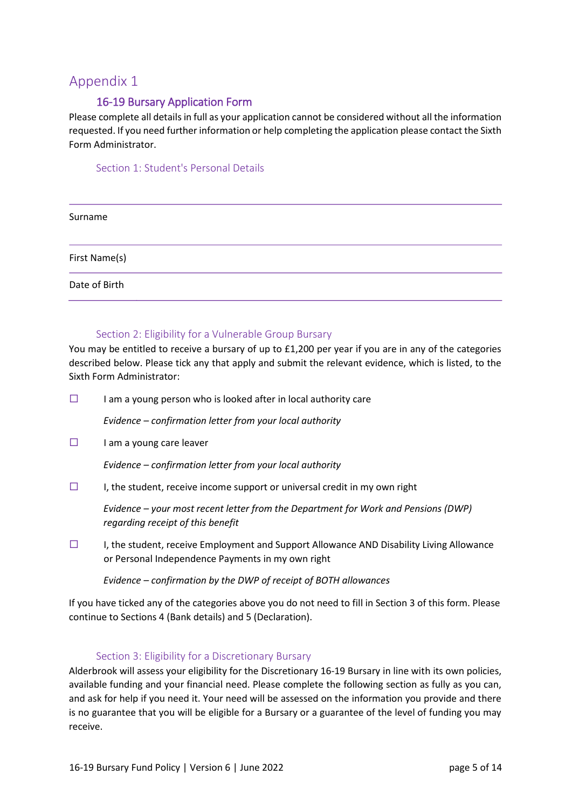## 16-19 Bursary Application Form

Please complete all details in full as your application cannot be considered without all the information requested. If you need further information or help completing the application please contact the Sixth Form Administrator.

#### Section 1: Student's Personal Details

| Surname       |  |  |  |
|---------------|--|--|--|
| First Name(s) |  |  |  |
| Date of Birth |  |  |  |

#### Section 2: Eligibility for a Vulnerable Group Bursary

You may be entitled to receive a bursary of up to £1,200 per year if you are in any of the categories described below. Please tick any that apply and submit the relevant evidence, which is listed, to the Sixth Form Administrator:

 $\square$  I am a young person who is looked after in local authority care

*Evidence – confirmation letter from your local authority* 

 $\Box$  I am a young care leaver

*Evidence – confirmation letter from your local authority* 

 $\Box$  I, the student, receive income support or universal credit in my own right

*Evidence – your most recent letter from the Department for Work and Pensions (DWP) regarding receipt of this benefit* 

 $\Box$  I, the student, receive Employment and Support Allowance AND Disability Living Allowance or Personal Independence Payments in my own right

*Evidence – confirmation by the DWP of receipt of BOTH allowances* 

If you have ticked any of the categories above you do not need to fill in Section 3 of this form. Please continue to Sections 4 (Bank details) and 5 (Declaration).

#### Section 3: Eligibility for a Discretionary Bursary

Alderbrook will assess your eligibility for the Discretionary 16‐19 Bursary in line with its own policies, available funding and your financial need. Please complete the following section as fully as you can, and ask for help if you need it. Your need will be assessed on the information you provide and there is no guarantee that you will be eligible for a Bursary or a guarantee of the level of funding you may receive.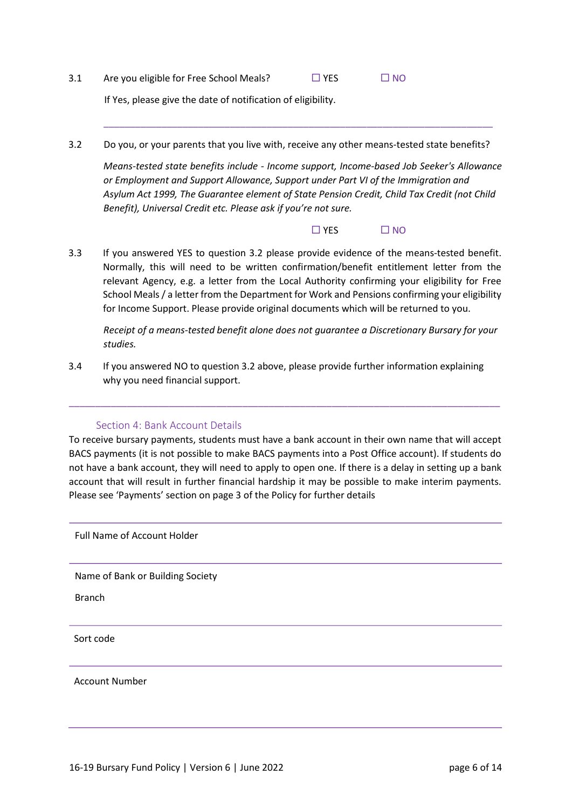3.1 Are you eligible for Free School Meals?  $\Box$  YES  $\Box$  NO

If Yes, please give the date of notification of eligibility.

3.2 Do you, or your parents that you live with, receive any other means-tested state benefits?

*Means‐tested state benefits include ‐ Income support, Income‐based Job Seeker's Allowance or Employment and Support Allowance, Support under Part VI of the Immigration and Asylum Act 1999, The Guarantee element of State Pension Credit, Child Tax Credit (not Child Benefit), Universal Credit etc. Please ask if you're not sure.*

\_\_\_\_\_\_\_\_\_\_\_\_\_\_\_\_\_\_\_\_\_\_\_\_\_\_\_\_\_\_\_\_\_\_\_\_\_\_\_\_\_\_\_\_\_\_\_\_\_\_\_\_\_\_\_\_\_\_\_\_\_\_\_\_\_\_\_\_\_\_\_\_\_\_

 $\Box$  YES  $\Box$  NO

3.3 If you answered YES to question 3.2 please provide evidence of the means‐tested benefit. Normally, this will need to be written confirmation/benefit entitlement letter from the relevant Agency, e.g. a letter from the Local Authority confirming your eligibility for Free School Meals / a letter from the Department for Work and Pensions confirming your eligibility for Income Support. Please provide original documents which will be returned to you.

*Receipt of a means‐tested benefit alone does not guarantee a Discretionary Bursary for your studies.* 

3.4 If you answered NO to question 3.2 above, please provide further information explaining why you need financial support.

#### Section 4: Bank Account Details

To receive bursary payments, students must have a bank account in their own name that will accept BACS payments (it is not possible to make BACS payments into a Post Office account). If students do not have a bank account, they will need to apply to open one. If there is a delay in setting up a bank account that will result in further financial hardship it may be possible to make interim payments. Please see 'Payments' section on page 3 of the Policy for further details

\_\_\_\_\_\_\_\_\_\_\_\_\_\_\_\_\_\_\_\_\_\_\_\_\_\_\_\_\_\_\_\_\_\_\_\_\_\_\_\_\_\_\_\_\_\_\_\_\_\_\_\_\_\_\_\_\_\_\_\_\_\_\_\_\_\_\_\_\_\_\_\_\_\_\_\_\_\_\_\_\_\_

Full Name of Account Holder

Name of Bank or Building Society

Branch

Sort code

Account Number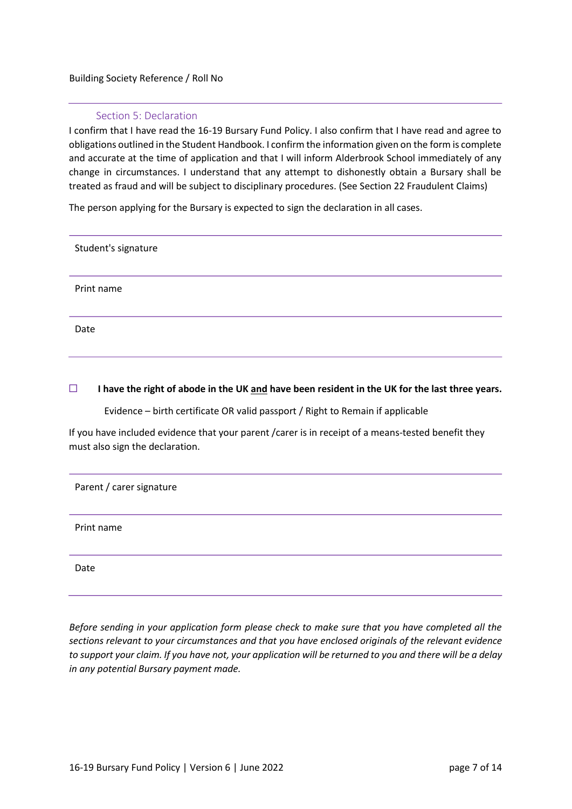#### Building Society Reference / Roll No

#### Section 5: Declaration

I confirm that I have read the 16‐19 Bursary Fund Policy. I also confirm that I have read and agree to obligations outlined in the Student Handbook. I confirm the information given on the form is complete and accurate at the time of application and that I will inform Alderbrook School immediately of any change in circumstances. I understand that any attempt to dishonestly obtain a Bursary shall be treated as fraud and will be subject to disciplinary procedures. (See Section 22 Fraudulent Claims)

The person applying for the Bursary is expected to sign the declaration in all cases.

Student's signature Print name Date

#### **I have the right of abode in the UK and have been resident in the UK for the last three years.**

Evidence – birth certificate OR valid passport / Right to Remain if applicable

If you have included evidence that your parent /carer is in receipt of a means-tested benefit they must also sign the declaration.

Parent / carer signature

Print name

Date

*Before sending in your application form please check to make sure that you have completed all the sections relevant to your circumstances and that you have enclosed originals of the relevant evidence to support your claim. If you have not, your application will be returned to you and there will be a delay in any potential Bursary payment made.*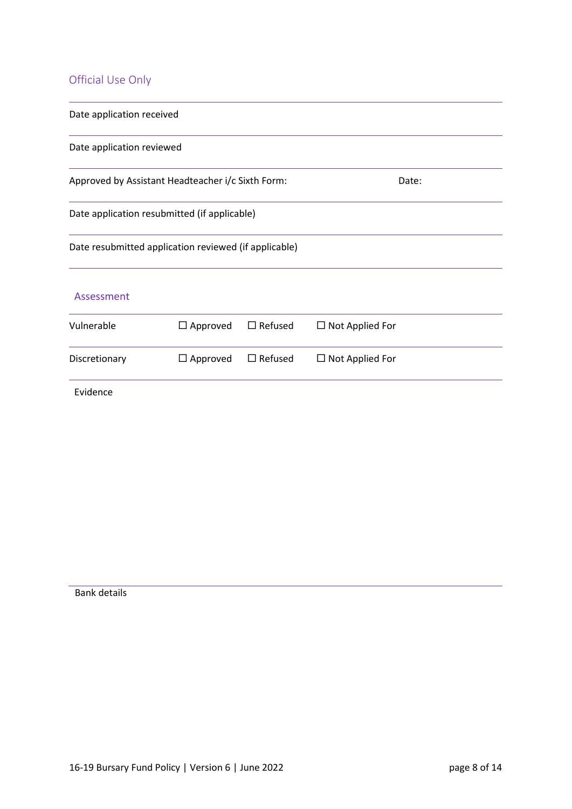## Official Use Only

| Date application received |                                                       |                |                        |  |
|---------------------------|-------------------------------------------------------|----------------|------------------------|--|
| Date application reviewed |                                                       |                |                        |  |
|                           | Approved by Assistant Headteacher i/c Sixth Form:     |                | Date:                  |  |
|                           | Date application resubmitted (if applicable)          |                |                        |  |
|                           | Date resubmitted application reviewed (if applicable) |                |                        |  |
| Assessment                |                                                       |                |                        |  |
| Vulnerable                | $\Box$ Approved                                       | $\Box$ Refused | $\Box$ Not Applied For |  |
| Discretionary             | $\Box$ Approved                                       | $\Box$ Refused | $\Box$ Not Applied For |  |
| Evidence                  |                                                       |                |                        |  |

Bank details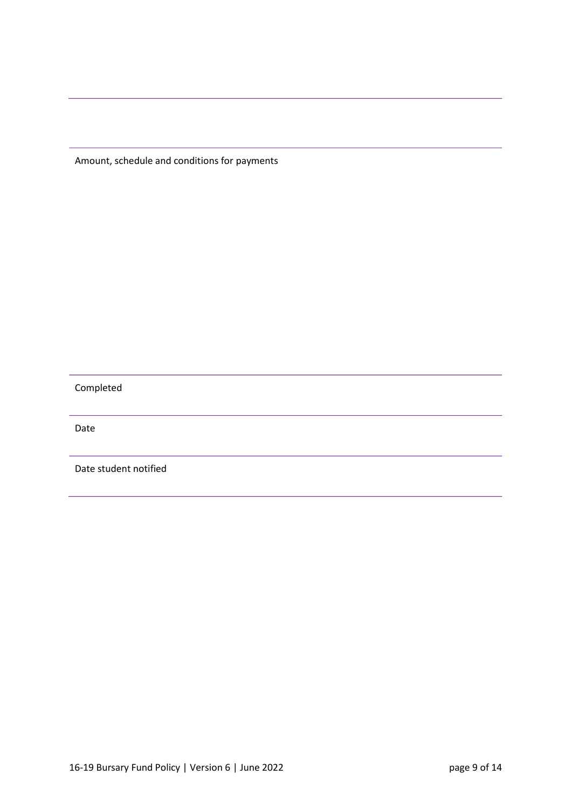Amount, schedule and conditions for payments

Completed

Date

Date student notified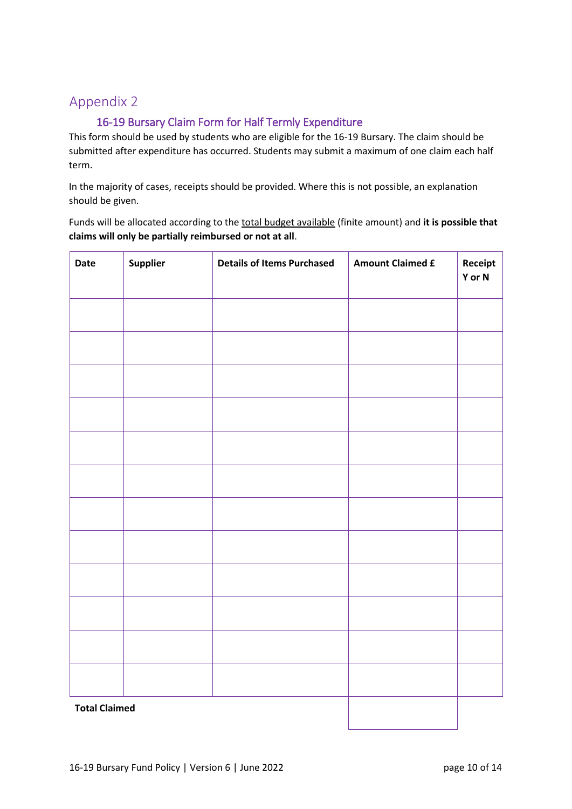## 16-19 Bursary Claim Form for Half Termly Expenditure

This form should be used by students who are eligible for the 16‐19 Bursary. The claim should be submitted after expenditure has occurred. Students may submit a maximum of one claim each half term.

In the majority of cases, receipts should be provided. Where this is not possible, an explanation should be given.

Funds will be allocated according to the total budget available (finite amount) and **it is possible that claims will only be partially reimbursed or not at all**.

| Date                 | Supplier | <b>Details of Items Purchased</b> | <b>Amount Claimed £</b> | Receipt<br>Y or N |
|----------------------|----------|-----------------------------------|-------------------------|-------------------|
|                      |          |                                   |                         |                   |
|                      |          |                                   |                         |                   |
|                      |          |                                   |                         |                   |
|                      |          |                                   |                         |                   |
|                      |          |                                   |                         |                   |
|                      |          |                                   |                         |                   |
|                      |          |                                   |                         |                   |
|                      |          |                                   |                         |                   |
|                      |          |                                   |                         |                   |
|                      |          |                                   |                         |                   |
|                      |          |                                   |                         |                   |
|                      |          |                                   |                         |                   |
| <b>Total Claimed</b> |          |                                   |                         |                   |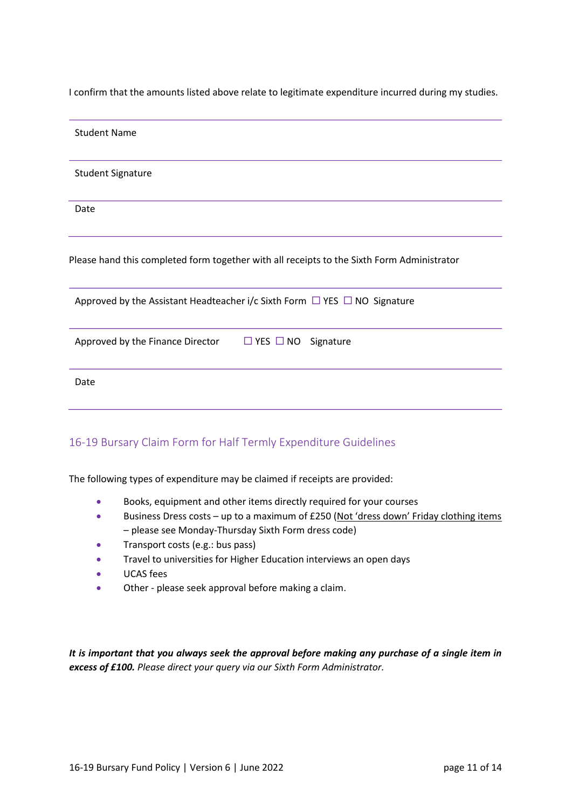I confirm that the amounts listed above relate to legitimate expenditure incurred during my studies.

| <b>Student Name</b>                                                                        |
|--------------------------------------------------------------------------------------------|
| <b>Student Signature</b>                                                                   |
| Date                                                                                       |
| Please hand this completed form together with all receipts to the Sixth Form Administrator |
| Approved by the Assistant Headteacher i/c Sixth Form $\Box$ YES $\Box$ NO Signature        |
| Approved by the Finance Director<br>$\Box$ YES $\Box$ NO Signature                         |
| Date                                                                                       |
|                                                                                            |

### 16-19 Bursary Claim Form for Half Termly Expenditure Guidelines

The following types of expenditure may be claimed if receipts are provided:

- Books, equipment and other items directly required for your courses
- Business Dress costs up to a maximum of £250 (Not 'dress down' Friday clothing items – please see Monday-Thursday Sixth Form dress code)
- Transport costs (e.g.: bus pass)
- **•** Travel to universities for Higher Education interviews an open days
- UCAS fees
- Other please seek approval before making a claim.

*It is important that you always seek the approval before making any purchase of a single item in excess of £100. Please direct your query via our Sixth Form Administrator.*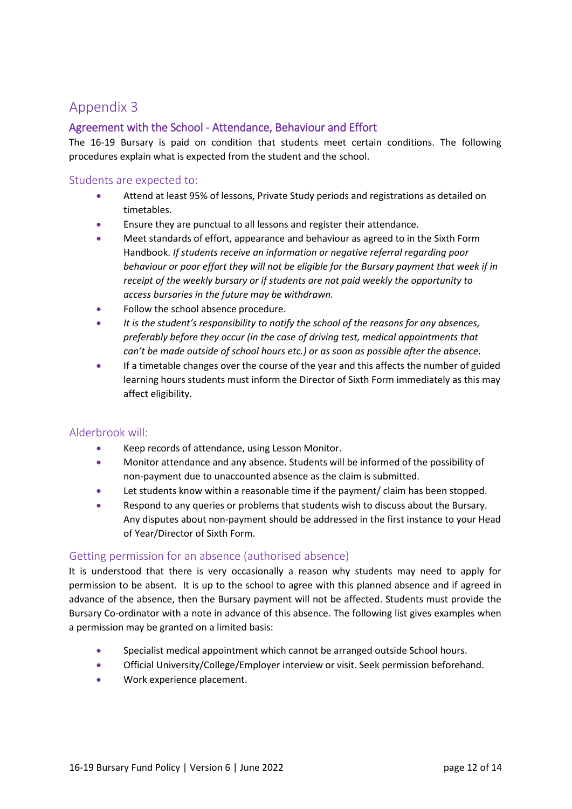## Agreement with the School - Attendance, Behaviour and Effort

The 16-19 Bursary is paid on condition that students meet certain conditions. The following procedures explain what is expected from the student and the school.

#### Students are expected to:

- Attend at least 95% of lessons, Private Study periods and registrations as detailed on timetables.
- Ensure they are punctual to all lessons and register their attendance.
- Meet standards of effort, appearance and behaviour as agreed to in the Sixth Form Handbook. *If students receive an information or negative referral regarding poor behaviour or poor effort they will not be eligible for the Bursary payment that week if in receipt of the weekly bursary or if students are not paid weekly the opportunity to access bursaries in the future may be withdrawn.*
- Follow the school absence procedure.
- *It is the student's responsibility to notify the school of the reasons for any absences, preferably before they occur (in the case of driving test, medical appointments that can't be made outside of school hours etc.) or as soon as possible after the absence.*
- If a timetable changes over the course of the year and this affects the number of guided learning hours students must inform the Director of Sixth Form immediately as this may affect eligibility.

#### Alderbrook will:

- Keep records of attendance, using Lesson Monitor.
- Monitor attendance and any absence. Students will be informed of the possibility of non-payment due to unaccounted absence as the claim is submitted.
- Let students know within a reasonable time if the payment/ claim has been stopped.
- Respond to any queries or problems that students wish to discuss about the Bursary. Any disputes about non‐payment should be addressed in the first instance to your Head of Year/Director of Sixth Form.

#### Getting permission for an absence (authorised absence)

It is understood that there is very occasionally a reason why students may need to apply for permission to be absent. It is up to the school to agree with this planned absence and if agreed in advance of the absence, then the Bursary payment will not be affected. Students must provide the Bursary Co-ordinator with a note in advance of this absence. The following list gives examples when a permission may be granted on a limited basis:

- Specialist medical appointment which cannot be arranged outside School hours.
- Official University/College/Employer interview or visit. Seek permission beforehand.
- Work experience placement.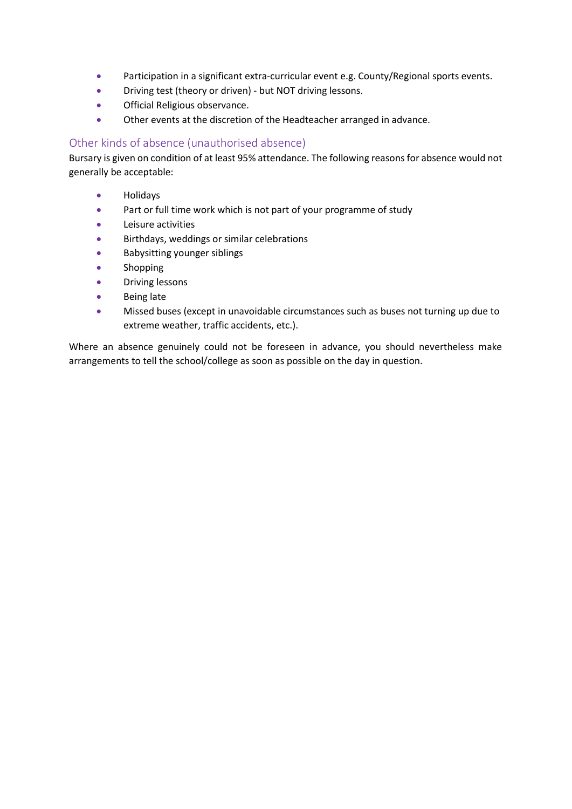- Participation in a significant extra-curricular event e.g. County/Regional sports events.
- Driving test (theory or driven) ‐ but NOT driving lessons.
- Official Religious observance.
- Other events at the discretion of the Headteacher arranged in advance.

#### Other kinds of absence (unauthorised absence)

Bursary is given on condition of at least 95% attendance. The following reasons for absence would not generally be acceptable:

- Holidays
- Part or full time work which is not part of your programme of study
- Leisure activities
- Birthdays, weddings or similar celebrations
- Babysitting younger siblings
- **Shopping**
- Driving lessons
- Being late
- Missed buses (except in unavoidable circumstances such as buses not turning up due to extreme weather, traffic accidents, etc.).

Where an absence genuinely could not be foreseen in advance, you should nevertheless make arrangements to tell the school/college as soon as possible on the day in question.